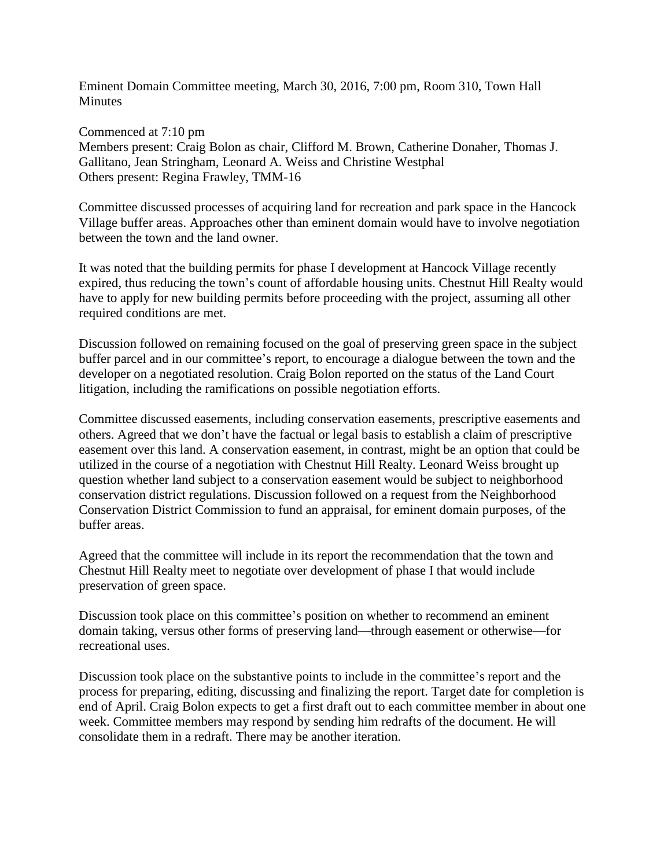Eminent Domain Committee meeting, March 30, 2016, 7:00 pm, Room 310, Town Hall **Minutes** 

Commenced at 7:10 pm Members present: Craig Bolon as chair, Clifford M. Brown, Catherine Donaher, Thomas J. Gallitano, Jean Stringham, Leonard A. Weiss and Christine Westphal Others present: Regina Frawley, TMM-16

Committee discussed processes of acquiring land for recreation and park space in the Hancock Village buffer areas. Approaches other than eminent domain would have to involve negotiation between the town and the land owner.

It was noted that the building permits for phase I development at Hancock Village recently expired, thus reducing the town's count of affordable housing units. Chestnut Hill Realty would have to apply for new building permits before proceeding with the project, assuming all other required conditions are met.

Discussion followed on remaining focused on the goal of preserving green space in the subject buffer parcel and in our committee's report, to encourage a dialogue between the town and the developer on a negotiated resolution. Craig Bolon reported on the status of the Land Court litigation, including the ramifications on possible negotiation efforts.

Committee discussed easements, including conservation easements, prescriptive easements and others. Agreed that we don't have the factual or legal basis to establish a claim of prescriptive easement over this land. A conservation easement, in contrast, might be an option that could be utilized in the course of a negotiation with Chestnut Hill Realty. Leonard Weiss brought up question whether land subject to a conservation easement would be subject to neighborhood conservation district regulations. Discussion followed on a request from the Neighborhood Conservation District Commission to fund an appraisal, for eminent domain purposes, of the buffer areas.

Agreed that the committee will include in its report the recommendation that the town and Chestnut Hill Realty meet to negotiate over development of phase I that would include preservation of green space.

Discussion took place on this committee's position on whether to recommend an eminent domain taking, versus other forms of preserving land—through easement or otherwise—for recreational uses.

Discussion took place on the substantive points to include in the committee's report and the process for preparing, editing, discussing and finalizing the report. Target date for completion is end of April. Craig Bolon expects to get a first draft out to each committee member in about one week. Committee members may respond by sending him redrafts of the document. He will consolidate them in a redraft. There may be another iteration.